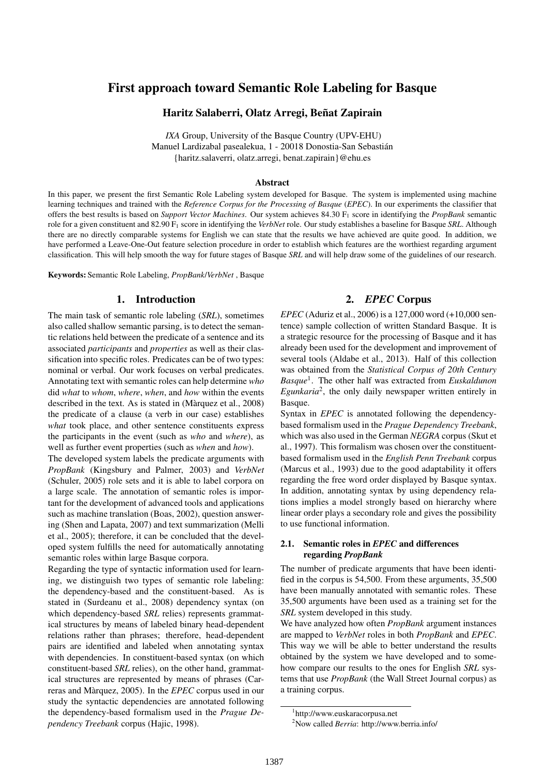# First approach toward Semantic Role Labeling for Basque

# Haritz Salaberri, Olatz Arregi, Beñat Zapirain

*IXA* Group, University of the Basque Country (UPV-EHU) Manuel Lardizabal pasealekua, 1 - 20018 Donostia-San Sebastián {haritz.salaverri, olatz.arregi, benat.zapirain}@ehu.es

#### Abstract

In this paper, we present the first Semantic Role Labeling system developed for Basque. The system is implemented using machine learning techniques and trained with the *Reference Corpus for the Processing of Basque* (*EPEC*). In our experiments the classifier that offers the best results is based on *Support Vector Machines*. Our system achieves 84.30 F<sup>1</sup> score in identifying the *PropBank* semantic role for a given constituent and 82.90 F<sup>1</sup> score in identifying the *VerbNet* role. Our study establishes a baseline for Basque *SRL*. Although there are no directly comparable systems for English we can state that the results we have achieved are quite good. In addition, we have performed a Leave-One-Out feature selection procedure in order to establish which features are the worthiest regarding argument classification. This will help smooth the way for future stages of Basque *SRL* and will help draw some of the guidelines of our research.

Keywords: Semantic Role Labeling, *PropBank*/*VerbNet* , Basque

# 1. Introduction

The main task of semantic role labeling (*SRL*), sometimes also called shallow semantic parsing, is to detect the semantic relations held between the predicate of a sentence and its associated *participants* and *properties* as well as their classification into specific roles. Predicates can be of two types: nominal or verbal. Our work focuses on verbal predicates. Annotating text with semantic roles can help determine *who* did *what* to *whom*, *where*, *when*, and *how* within the events described in the text. As is stated in (Màrquez et al., 2008) the predicate of a clause (a verb in our case) establishes *what* took place, and other sentence constituents express the participants in the event (such as *who* and *where*), as well as further event properties (such as *when* and *how*).

The developed system labels the predicate arguments with *PropBank* (Kingsbury and Palmer, 2003) and *VerbNet* (Schuler, 2005) role sets and it is able to label corpora on a large scale. The annotation of semantic roles is important for the development of advanced tools and applications such as machine translation (Boas, 2002), question answering (Shen and Lapata, 2007) and text summarization (Melli et al., 2005); therefore, it can be concluded that the developed system fulfills the need for automatically annotating semantic roles within large Basque corpora.

Regarding the type of syntactic information used for learning, we distinguish two types of semantic role labeling: the dependency-based and the constituent-based. As is stated in (Surdeanu et al., 2008) dependency syntax (on which dependency-based *SRL* relies) represents grammatical structures by means of labeled binary head-dependent relations rather than phrases; therefore, head-dependent pairs are identified and labeled when annotating syntax with dependencies. In constituent-based syntax (on which constituent-based *SRL* relies), on the other hand, grammatical structures are represented by means of phrases (Carreras and Màrquez, 2005). In the *EPEC* corpus used in our study the syntactic dependencies are annotated following the dependency-based formalism used in the *Prague Dependency Treebank* corpus (Hajic, 1998).

# 2. *EPEC* Corpus

*EPEC* (Aduriz et al., 2006) is a 127,000 word (+10,000 sentence) sample collection of written Standard Basque. It is a strategic resource for the processing of Basque and it has already been used for the development and improvement of several tools (Aldabe et al., 2013). Half of this collection was obtained from the *Statistical Corpus of 20th Century Basque*<sup>1</sup> . The other half was extracted from *Euskaldunon Egunkaria*<sup>2</sup> , the only daily newspaper written entirely in Basque.

Syntax in *EPEC* is annotated following the dependencybased formalism used in the *Prague Dependency Treebank*, which was also used in the German *NEGRA* corpus (Skut et al., 1997). This formalism was chosen over the constituentbased formalism used in the *English Penn Treebank* corpus (Marcus et al., 1993) due to the good adaptability it offers regarding the free word order displayed by Basque syntax. In addition, annotating syntax by using dependency relations implies a model strongly based on hierarchy where linear order plays a secondary role and gives the possibility to use functional information.

# 2.1. Semantic roles in *EPEC* and differences regarding *PropBank*

The number of predicate arguments that have been identified in the corpus is 54,500. From these arguments, 35,500 have been manually annotated with semantic roles. These 35,500 arguments have been used as a training set for the *SRL* system developed in this study.

We have analyzed how often *PropBank* argument instances are mapped to *VerbNet* roles in both *PropBank* and *EPEC*. This way we will be able to better understand the results obtained by the system we have developed and to somehow compare our results to the ones for English *SRL* systems that use *PropBank* (the Wall Street Journal corpus) as a training corpus.

<sup>1</sup> http://www.euskaracorpusa.net

<sup>2</sup>Now called *Berria*: http://www.berria.info/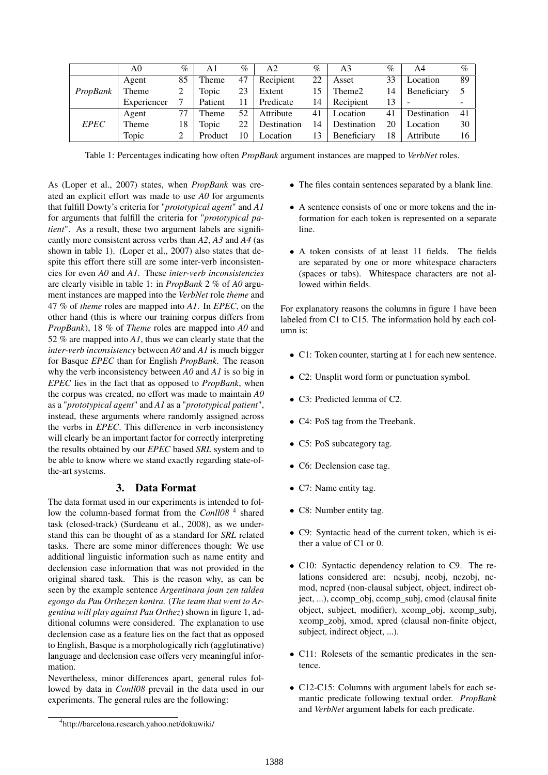|             | A0          | $\%$ | A1      | $\%$ | A2          | $\%$ | A3          | $\%$ | A4          | $\%$ |
|-------------|-------------|------|---------|------|-------------|------|-------------|------|-------------|------|
|             | Agent       | 85   | Theme   | 47   | Recipient   | 22   | Asset       | 33   | Location    | 89   |
| PropBank    | Theme       |      | Topic   | 23   | Extent      | 15   | Theme2      | 14   | Beneficiary |      |
|             | Experiencer |      | Patient | 11   | Predicate   | 14   | Recipient   | 13   |             |      |
|             | Agent       | 77   | Theme   | 52   | Attribute   | 41   | Location    | 41   | Destination | 41   |
| <b>EPEC</b> | Theme       | 18   | Topic   | 22   | Destination | 14   | Destination | 20   | Location    | 30   |
|             | Topic       |      | Product | 10   | Location    | 13   | Beneficiary | 18   | Attribute   | 16   |

Table 1: Percentages indicating how often *PropBank* argument instances are mapped to *VerbNet* roles.

As (Loper et al., 2007) states, when *PropBank* was created an explicit effort was made to use *A0* for arguments that fulfill Dowty's criteria for "*prototypical agent*" and *A1* for arguments that fulfill the criteria for "*prototypical patient*". As a result, these two argument labels are significantly more consistent across verbs than *A2*, *A3* and *A4* (as shown in table 1). (Loper et al., 2007) also states that despite this effort there still are some inter-verb inconsistencies for even *A0* and *A1*. These *inter-verb inconsistencies* are clearly visible in table 1: in *PropBank* 2 % of *A0* argument instances are mapped into the *VerbNet* role *theme* and 47 % of *theme* roles are mapped into *A1*. In *EPEC*, on the other hand (this is where our training corpus differs from *PropBank*), 18 % of *Theme* roles are mapped into *A0* and 52 % are mapped into *A1*, thus we can clearly state that the *inter-verb inconsistency* between *A0* and *A1* is much bigger for Basque *EPEC* than for English *PropBank*. The reason why the verb inconsistency between *A0* and *A1* is so big in *EPEC* lies in the fact that as opposed to *PropBank*, when the corpus was created, no effort was made to maintain *A0* as a "*prototypical agent*" and *A1* as a "*prototypical patient*", instead, these arguments where randomly assigned across the verbs in *EPEC*. This difference in verb inconsistency will clearly be an important factor for correctly interpreting the results obtained by our *EPEC* based *SRL* system and to be able to know where we stand exactly regarding state-ofthe-art systems.

# 3. Data Format

The data format used in our experiments is intended to follow the column-based format from the *Conll08*<sup>4</sup> shared task (closed-track) (Surdeanu et al., 2008), as we understand this can be thought of as a standard for *SRL* related tasks. There are some minor differences though: We use additional linguistic information such as name entity and declension case information that was not provided in the original shared task. This is the reason why, as can be seen by the example sentence *Argentinara joan zen taldea egongo da Pau Orthezen kontra.* (*The team that went to Argentina will play against Pau Orthez*) shown in figure 1, additional columns were considered. The explanation to use declension case as a feature lies on the fact that as opposed to English, Basque is a morphologically rich (agglutinative) language and declension case offers very meaningful information.

Nevertheless, minor differences apart, general rules followed by data in *Conll08* prevail in the data used in our experiments. The general rules are the following:

- The files contain sentences separated by a blank line.
- A sentence consists of one or more tokens and the information for each token is represented on a separate line.
- A token consists of at least 11 fields. The fields are separated by one or more whitespace characters (spaces or tabs). Whitespace characters are not allowed within fields.

For explanatory reasons the columns in figure 1 have been labeled from C1 to C15. The information hold by each column is:

- C1: Token counter, starting at 1 for each new sentence.
- C2: Unsplit word form or punctuation symbol.
- C3: Predicted lemma of C2.
- C4: PoS tag from the Treebank.
- C5: PoS subcategory tag.
- C6: Declension case tag.
- C7: Name entity tag.
- C8: Number entity tag.
- C9: Syntactic head of the current token, which is either a value of C1 or 0.
- C10: Syntactic dependency relation to C9. The relations considered are: ncsubj, ncobj, nczobj, ncmod, ncpred (non-clausal subject, object, indirect object, ...), ccomp\_obj, ccomp\_subj, cmod (clausal finite object, subject, modifier), xcomp\_obj, xcomp\_subj, xcomp\_zobj, xmod, xpred (clausal non-finite object, subject, indirect object, ...).
- C11: Rolesets of the semantic predicates in the sentence.
- C12-C15: Columns with argument labels for each semantic predicate following textual order. *PropBank* and *VerbNet* argument labels for each predicate.

<sup>4</sup> http://barcelona.research.yahoo.net/dokuwiki/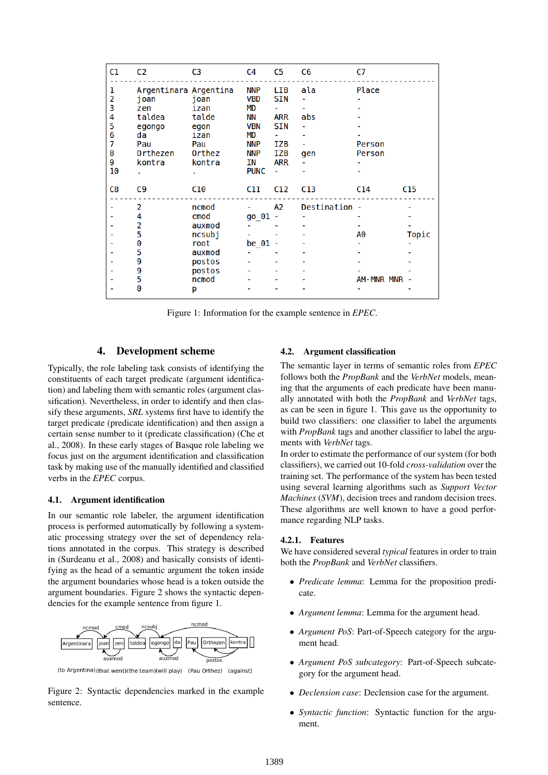| C1                                              | C <sub>2</sub>                                                                               | C <sub>3</sub>                                                                        | C4                                                                                                        | C5                                                                                    | C <sub>6</sub>    | C7                               |                 |
|-------------------------------------------------|----------------------------------------------------------------------------------------------|---------------------------------------------------------------------------------------|-----------------------------------------------------------------------------------------------------------|---------------------------------------------------------------------------------------|-------------------|----------------------------------|-----------------|
| ı<br>2<br>3<br>4<br>5<br>6<br>7<br>8<br>9<br>10 | Argentinara Argentina<br>j oan<br>zen<br>taldea<br>egongo<br>da<br>Pau<br>Orthezen<br>kontra | joan<br>izan<br>talde<br>egon<br>izan<br>Pau<br>Orthez<br>kontra                      | <b>NNP</b><br><b>VBD</b><br>MD<br>ΝN<br><b>VBN</b><br>MD<br><b>NNP</b><br><b>NNP</b><br>ΙN<br><b>PUNC</b> | LIB<br><b>SIN</b><br><b>ARR</b><br><b>SIN</b><br>IZB<br><b>IZB</b><br><b>ARR</b><br>÷ | ala<br>abs<br>gen | Place<br>Person<br><b>Person</b> |                 |
| C8                                              | C9                                                                                           | C <sub>10</sub>                                                                       | C11                                                                                                       | C12                                                                                   | C <sub>13</sub>   | C <sub>14</sub>                  | C <sub>15</sub> |
|                                                 | 2<br>4<br>2<br>5<br>0<br>5<br>9<br>9<br>5<br>Θ                                               | ncmod<br>cmod<br>auxmod<br>ncsubj<br>root<br>auxmod<br>postos<br>postos<br>ncmod<br>р | go 01<br>be $01$                                                                                          | A2                                                                                    | Destination -     | A0<br><b>AM-MNR MNR</b>          | Topic           |

Figure 1: Information for the example sentence in *EPEC*.

## 4. Development scheme

Typically, the role labeling task consists of identifying the constituents of each target predicate (argument identification) and labeling them with semantic roles (argument classification). Nevertheless, in order to identify and then classify these arguments, *SRL* systems first have to identify the target predicate (predicate identification) and then assign a certain sense number to it (predicate classification) (Che et al., 2008). In these early stages of Basque role labeling we focus just on the argument identification and classification task by making use of the manually identified and classified verbs in the *EPEC* corpus.

#### 4.1. Argument identification

In our semantic role labeler, the argument identification process is performed automatically by following a systematic processing strategy over the set of dependency relations annotated in the corpus. This strategy is described in (Surdeanu et al., 2008) and basically consists of identifying as the head of a semantic argument the token inside the argument boundaries whose head is a token outside the argument boundaries. Figure 2 shows the syntactic dependencies for the example sentence from figure 1.



(to Argentina)(that went)(the team)(will play) (Pau Orthez) (against)

Figure 2: Syntactic dependencies marked in the example sentence.

#### 4.2. Argument classification

The semantic layer in terms of semantic roles from *EPEC* follows both the *PropBank* and the *VerbNet* models, meaning that the arguments of each predicate have been manually annotated with both the *PropBank* and *VerbNet* tags, as can be seen in figure 1. This gave us the opportunity to build two classifiers: one classifier to label the arguments with *PropBank* tags and another classifier to label the arguments with *VerbNet* tags.

In order to estimate the performance of our system (for both classifiers), we carried out 10-fold *cross-validation* over the training set. The performance of the system has been tested using several learning algorithms such as *Support Vector Machines* (*SVM*), decision trees and random decision trees. These algorithms are well known to have a good performance regarding NLP tasks.

#### 4.2.1. Features

We have considered several *typical* features in order to train both the *PropBank* and *VerbNet* classifiers.

- *Predicate lemma*: Lemma for the proposition predicate.
- *Argument lemma*: Lemma for the argument head.
- *Argument PoS*: Part-of-Speech category for the argument head.
- *Argument PoS subcategory*: Part-of-Speech subcategory for the argument head.
- *Declension case*: Declension case for the argument.
- *Syntactic function*: Syntactic function for the argument.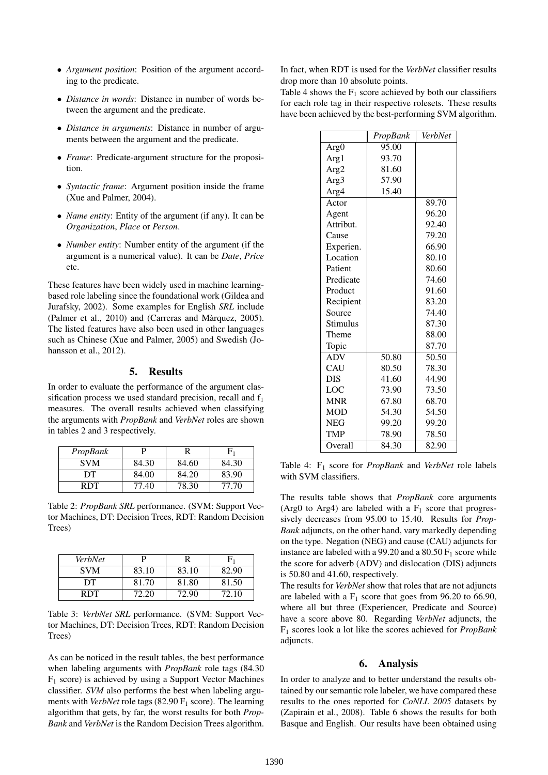- *Argument position*: Position of the argument according to the predicate.
- *Distance in words*: Distance in number of words between the argument and the predicate.
- *Distance in arguments*: Distance in number of arguments between the argument and the predicate.
- *Frame*: Predicate-argument structure for the proposition.
- *Syntactic frame*: Argument position inside the frame (Xue and Palmer, 2004).
- *Name entity*: Entity of the argument (if any). It can be *Organization*, *Place* or *Person*.
- *Number entity*: Number entity of the argument (if the argument is a numerical value). It can be *Date*, *Price* etc.

These features have been widely used in machine learningbased role labeling since the foundational work (Gildea and Jurafsky, 2002). Some examples for English *SRL* include (Palmer et al., 2010) and (Carreras and Màrquez, 2005). The listed features have also been used in other languages such as Chinese (Xue and Palmer, 2005) and Swedish (Johansson et al., 2012).

# 5. Results

In order to evaluate the performance of the argument classification process we used standard precision, recall and  $f_1$ measures. The overall results achieved when classifying the arguments with *PropBank* and *VerbNet* roles are shown in tables 2 and 3 respectively.

| PropBank   |       |       |       |
|------------|-------|-------|-------|
| <b>SVM</b> | 84.30 | 84.60 | 84.30 |
| DТ         | 84.00 | 84.20 | 83.90 |
| RDT        | 77.40 | 78.30 | 77.70 |

Table 2: *PropBank SRL* performance. (SVM: Support Vector Machines, DT: Decision Trees, RDT: Random Decision Trees)

| VerbNet    |       |       |       |
|------------|-------|-------|-------|
| <b>SVM</b> | 83.10 | 83.10 | 82.90 |
| DT         | 81.70 | 81.80 | 81.50 |
| RDT        | 72.20 | 72.90 | 72.10 |

Table 3: *VerbNet SRL* performance. (SVM: Support Vector Machines, DT: Decision Trees, RDT: Random Decision Trees)

As can be noticed in the result tables, the best performance when labeling arguments with *PropBank* role tags (84.30  $F_1$  score) is achieved by using a Support Vector Machines classifier. *SVM* also performs the best when labeling arguments with *VerbNet* role tags  $(82.90 \text{ F}_1 \text{ score})$ . The learning algorithm that gets, by far, the worst results for both *Prop-Bank* and *VerbNet* is the Random Decision Trees algorithm.

In fact, when RDT is used for the *VerbNet* classifier results drop more than 10 absolute points.

Table 4 shows the  $F_1$  score achieved by both our classifiers for each role tag in their respective rolesets. These results have been achieved by the best-performing SVM algorithm.

|                  | PropBank | <b>VerbNet</b> |
|------------------|----------|----------------|
| Arg <sub>0</sub> | 95.00    |                |
| Arg1             | 93.70    |                |
| Arg <sub>2</sub> | 81.60    |                |
| Arg <sub>3</sub> | 57.90    |                |
| Arg4             | 15.40    |                |
| Actor            |          | 89.70          |
| Agent            |          | 96.20          |
| Attribut.        |          | 92.40          |
| Cause            |          | 79.20          |
| Experien.        |          | 66.90          |
| Location         |          | 80.10          |
| Patient          |          | 80.60          |
| Predicate        |          | 74.60          |
| Product          |          | 91.60          |
| Recipient        |          | 83.20          |
| Source           |          | 74.40          |
| Stimulus         |          | 87.30          |
| Theme            |          | 88.00          |
| Topic            |          | 87.70          |
| <b>ADV</b>       | 50.80    | 50.50          |
| CAU              | 80.50    | 78.30          |
| <b>DIS</b>       | 41.60    | 44.90          |
| LOC              | 73.90    | 73.50          |
| <b>MNR</b>       | 67.80    | 68.70          |
| <b>MOD</b>       | 54.30    | 54.50          |
| <b>NEG</b>       | 99.20    | 99.20          |
| <b>TMP</b>       | 78.90    | 78.50          |
| Overall          | 84.30    | 82.90          |

Table 4: F<sup>1</sup> score for *PropBank* and *VerbNet* role labels with SVM classifiers.

The results table shows that *PropBank* core arguments (Arg0 to Arg4) are labeled with a  $F_1$  score that progressively decreases from 95.00 to 15.40. Results for *Prop-Bank* adjuncts, on the other hand, vary markedly depending on the type. Negation (NEG) and cause (CAU) adjuncts for instance are labeled with a 99.20 and a  $80.50 \text{ F}_1$  score while the score for adverb (ADV) and dislocation (DIS) adjuncts is 50.80 and 41.60, respectively.

The results for *VerbNet* show that roles that are not adjuncts are labeled with a  $F_1$  score that goes from 96.20 to 66.90, where all but three (Experiencer, Predicate and Source) have a score above 80. Regarding *VerbNet* adjuncts, the F<sup>1</sup> scores look a lot like the scores achieved for *PropBank* adjuncts.

### 6. Analysis

In order to analyze and to better understand the results obtained by our semantic role labeler, we have compared these results to the ones reported for *CoNLL 2005* datasets by (Zapirain et al., 2008). Table 6 shows the results for both Basque and English. Our results have been obtained using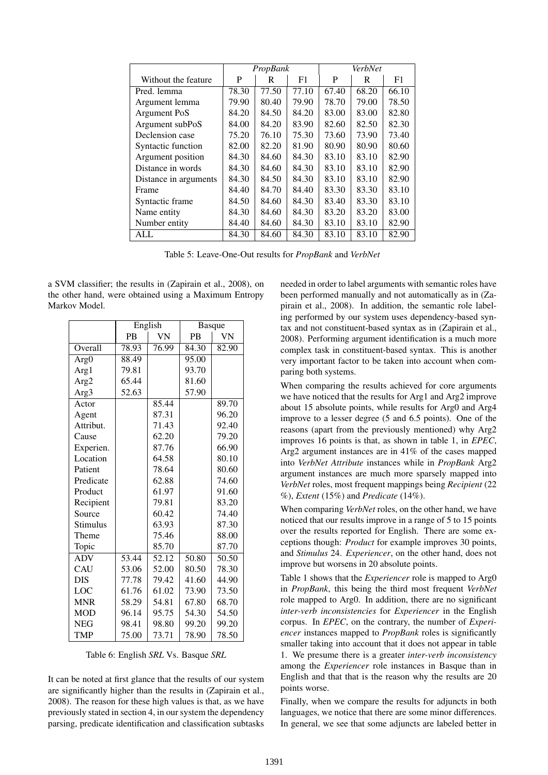|                       | PropBank |       | VerbNet |       |       |       |
|-----------------------|----------|-------|---------|-------|-------|-------|
| Without the feature   | P        | R     | F1      | P     | R     | F1    |
| Pred. lemma           | 78.30    | 77.50 | 77.10   | 67.40 | 68.20 | 66.10 |
| Argument lemma        | 79.90    | 80.40 | 79.90   | 78.70 | 79.00 | 78.50 |
| Argument PoS          | 84.20    | 84.50 | 84.20   | 83.00 | 83.00 | 82.80 |
| Argument subPoS       | 84.00    | 84.20 | 83.90   | 82.60 | 82.50 | 82.30 |
| Declension case       | 75.20    | 76.10 | 75.30   | 73.60 | 73.90 | 73.40 |
| Syntactic function    | 82.00    | 82.20 | 81.90   | 80.90 | 80.90 | 80.60 |
| Argument position     | 84.30    | 84.60 | 84.30   | 83.10 | 83.10 | 82.90 |
| Distance in words     | 84.30    | 84.60 | 84.30   | 83.10 | 83.10 | 82.90 |
| Distance in arguments | 84.30    | 84.50 | 84.30   | 83.10 | 83.10 | 82.90 |
| Frame                 | 84.40    | 84.70 | 84.40   | 83.30 | 83.30 | 83.10 |
| Syntactic frame       | 84.50    | 84.60 | 84.30   | 83.40 | 83.30 | 83.10 |
| Name entity           | 84.30    | 84.60 | 84.30   | 83.20 | 83.20 | 83.00 |
| Number entity         | 84.40    | 84.60 | 84.30   | 83.10 | 83.10 | 82.90 |
| ALL                   | 84.30    | 84.60 | 84.30   | 83.10 | 83.10 | 82.90 |

Table 5: Leave-One-Out results for *PropBank* and *VerbNet*

a SVM classifier; the results in (Zapirain et al., 2008), on the other hand, were obtained using a Maximum Entropy Markov Model.

|                  | English   |           | <b>Basque</b>      |                    |
|------------------|-----------|-----------|--------------------|--------------------|
|                  | <b>PB</b> | <b>VN</b> | <b>PB</b>          | <b>VN</b>          |
| Overall          | 78.93     | 76.99     | 84.30              | $\overline{8}2.90$ |
| Arg <sub>0</sub> | 88.49     |           | 95.00              |                    |
| Arg1             | 79.81     |           | 93.70              |                    |
| Arg <sub>2</sub> | 65.44     |           | 81.60              |                    |
| Arg <sub>3</sub> | 52.63     |           | 57.90              |                    |
| Actor            |           | 85.44     |                    | 89.70              |
| Agent            |           | 87.31     |                    | 96.20              |
| Attribut.        |           | 71.43     |                    | 92.40              |
| Cause            |           | 62.20     |                    | 79.20              |
| Experien.        |           | 87.76     |                    | 66.90              |
| Location         |           | 64.58     |                    | 80.10              |
| Patient          |           | 78.64     |                    | 80.60              |
| Predicate        |           | 62.88     |                    | 74.60              |
| Product          |           | 61.97     |                    | 91.60              |
| Recipient        |           | 79.81     |                    | 83.20              |
| Source           |           | 60.42     |                    | 74.40              |
| Stimulus         |           | 63.93     |                    | 87.30              |
| Theme            |           | 75.46     |                    | 88.00              |
| Topic            |           | 85.70     |                    | 87.70              |
| <b>ADV</b>       | 53.44     | 52.12     | $\overline{50.80}$ | 50.50              |
| CAU              | 53.06     | 52.00     | 80.50              | 78.30              |
| <b>DIS</b>       | 77.78     | 79.42     | 41.60              | 44.90              |
| LOC              | 61.76     | 61.02     | 73.90              | 73.50              |
| <b>MNR</b>       | 58.29     | 54.81     | 67.80              | 68.70              |
| <b>MOD</b>       | 96.14     | 95.75     | 54.30              | 54.50              |
| <b>NEG</b>       | 98.41     | 98.80     | 99.20              | 99.20              |
| <b>TMP</b>       | 75.00     | 73.71     | 78.90              | 78.50              |

Table 6: English *SRL* Vs. Basque *SRL*

It can be noted at first glance that the results of our system are significantly higher than the results in (Zapirain et al., 2008). The reason for these high values is that, as we have previously stated in section 4, in our system the dependency parsing, predicate identification and classification subtasks needed in order to label arguments with semantic roles have been performed manually and not automatically as in (Zapirain et al., 2008). In addition, the semantic role labeling performed by our system uses dependency-based syntax and not constituent-based syntax as in (Zapirain et al., 2008). Performing argument identification is a much more complex task in constituent-based syntax. This is another very important factor to be taken into account when comparing both systems.

When comparing the results achieved for core arguments we have noticed that the results for Arg1 and Arg2 improve about 15 absolute points, while results for Arg0 and Arg4 improve to a lesser degree (5 and 6.5 points). One of the reasons (apart from the previously mentioned) why Arg2 improves 16 points is that, as shown in table 1, in *EPEC*, Arg2 argument instances are in 41% of the cases mapped into *VerbNet Attribute* instances while in *PropBank* Arg2 argument instances are much more sparsely mapped into *VerbNet* roles, most frequent mappings being *Recipient* (22 %), *Extent* (15%) and *Predicate* (14%).

When comparing *VerbNet* roles, on the other hand, we have noticed that our results improve in a range of 5 to 15 points over the results reported for English. There are some exceptions though: *Product* for example improves 30 points, and *Stimulus* 24. *Experiencer*, on the other hand, does not improve but worsens in 20 absolute points.

Table 1 shows that the *Experiencer* role is mapped to Arg0 in *PropBank*, this being the third most frequent *VerbNet* role mapped to Arg0. In addition, there are no significant *inter-verb inconsistencies* for *Experiencer* in the English corpus. In *EPEC*, on the contrary, the number of *Experiencer* instances mapped to *PropBank* roles is significantly smaller taking into account that it does not appear in table 1. We presume there is a greater *inter-verb inconsistency* among the *Experiencer* role instances in Basque than in English and that that is the reason why the results are 20 points worse.

Finally, when we compare the results for adjuncts in both languages, we notice that there are some minor differences. In general, we see that some adjuncts are labeled better in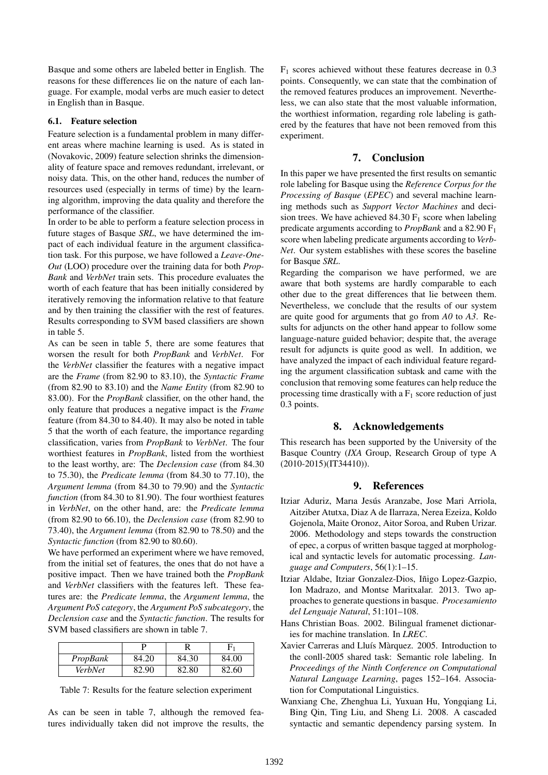Basque and some others are labeled better in English. The reasons for these differences lie on the nature of each language. For example, modal verbs are much easier to detect in English than in Basque.

### 6.1. Feature selection

Feature selection is a fundamental problem in many different areas where machine learning is used. As is stated in (Novakovic, 2009) feature selection shrinks the dimensionality of feature space and removes redundant, irrelevant, or noisy data. This, on the other hand, reduces the number of resources used (especially in terms of time) by the learning algorithm, improving the data quality and therefore the performance of the classifier.

In order to be able to perform a feature selection process in future stages of Basque *SRL*, we have determined the impact of each individual feature in the argument classification task. For this purpose, we have followed a *Leave-One-Out* (LOO) procedure over the training data for both *Prop-Bank* and *VerbNet* train sets. This procedure evaluates the worth of each feature that has been initially considered by iteratively removing the information relative to that feature and by then training the classifier with the rest of features. Results corresponding to SVM based classifiers are shown in table 5.

As can be seen in table 5, there are some features that worsen the result for both *PropBank* and *VerbNet*. For the *VerbNet* classifier the features with a negative impact are the *Frame* (from 82.90 to 83.10), the *Syntactic Frame* (from 82.90 to 83.10) and the *Name Entity* (from 82.90 to 83.00). For the *PropBank* classifier, on the other hand, the only feature that produces a negative impact is the *Frame* feature (from 84.30 to 84.40). It may also be noted in table 5 that the worth of each feature, the importance regarding classification, varies from *PropBank* to *VerbNet*. The four worthiest features in *PropBank*, listed from the worthiest to the least worthy, are: The *Declension case* (from 84.30 to 75.30), the *Predicate lemma* (from 84.30 to 77.10), the *Argument lemma* (from 84.30 to 79.90) and the *Syntactic function* (from 84.30 to 81.90). The four worthiest features in *VerbNet*, on the other hand, are: the *Predicate lemma* (from 82.90 to 66.10), the *Declension case* (from 82.90 to 73.40), the *Argument lemma* (from 82.90 to 78.50) and the *Syntactic function* (from 82.90 to 80.60).

We have performed an experiment where we have removed, from the initial set of features, the ones that do not have a positive impact. Then we have trained both the *PropBank* and *VerbNet* classifiers with the features left. These features are: the *Predicate lemma*, the *Argument lemma*, the *Argument PoS category*, the *Argument PoS subcategory*, the *Declension case* and the *Syntactic function*. The results for SVM based classifiers are shown in table 7.

| PropBank | 84.20 | 84.30 | 84.00 |
|----------|-------|-------|-------|
| VerbNet  | 82.90 | 82.80 | 82.60 |

Table 7: Results for the feature selection experiment

As can be seen in table 7, although the removed features individually taken did not improve the results, the  $F_1$  scores achieved without these features decrease in 0.3 points. Consequently, we can state that the combination of the removed features produces an improvement. Nevertheless, we can also state that the most valuable information, the worthiest information, regarding role labeling is gathered by the features that have not been removed from this experiment.

## 7. Conclusion

In this paper we have presented the first results on semantic role labeling for Basque using the *Reference Corpus for the Processing of Basque* (*EPEC*) and several machine learning methods such as *Support Vector Machines* and decision trees. We have achieved 84.30  $F_1$  score when labeling predicate arguments according to *PropBank* and a 82.90 F<sup>1</sup> score when labeling predicate arguments according to *Verb-Net*. Our system establishes with these scores the baseline for Basque *SRL*.

Regarding the comparison we have performed, we are aware that both systems are hardly comparable to each other due to the great differences that lie between them. Nevertheless, we conclude that the results of our system are quite good for arguments that go from *A0* to *A3*. Results for adjuncts on the other hand appear to follow some language-nature guided behavior; despite that, the average result for adjuncts is quite good as well. In addition, we have analyzed the impact of each individual feature regarding the argument classification subtask and came with the conclusion that removing some features can help reduce the processing time drastically with a  $F_1$  score reduction of just 0.3 points.

## 8. Acknowledgements

This research has been supported by the University of the Basque Country (*IXA* Group, Research Group of type A (2010-2015)(IT34410)).

# 9. References

- Itziar Aduriz, Marıa Jesús Aranzabe, Jose Mari Arriola, Aitziber Atutxa, Diaz A de Ilarraza, Nerea Ezeiza, Koldo Gojenola, Maite Oronoz, Aitor Soroa, and Ruben Urizar. 2006. Methodology and steps towards the construction of epec, a corpus of written basque tagged at morphological and syntactic levels for automatic processing. *Language and Computers*, 56(1):1–15.
- Itziar Aldabe, Itziar Gonzalez-Dios, Iñigo Lopez-Gazpio, Ion Madrazo, and Montse Maritxalar. 2013. Two approaches to generate questions in basque. *Procesamiento del Lenguaje Natural*, 51:101–108.
- Hans Christian Boas. 2002. Bilingual framenet dictionaries for machine translation. In *LREC*.
- Xavier Carreras and Lluís Màrquez. 2005. Introduction to the conll-2005 shared task: Semantic role labeling. In *Proceedings of the Ninth Conference on Computational Natural Language Learning*, pages 152–164. Association for Computational Linguistics.
- Wanxiang Che, Zhenghua Li, Yuxuan Hu, Yongqiang Li, Bing Qin, Ting Liu, and Sheng Li. 2008. A cascaded syntactic and semantic dependency parsing system. In